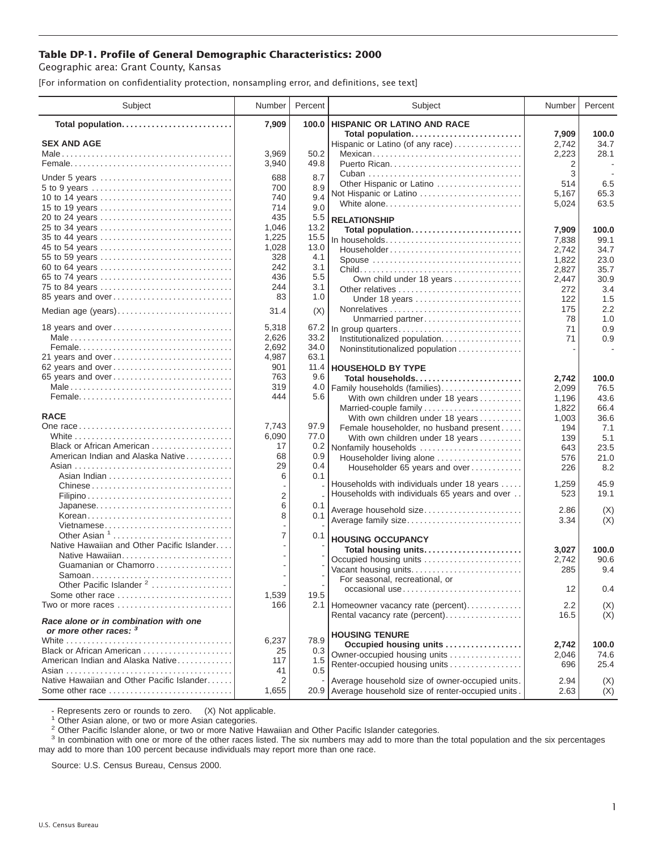## **Table DP-1. Profile of General Demographic Characteristics: 2000**

Geographic area: Grant County, Kansas

[For information on confidentiality protection, nonsampling error, and definitions, see text]

| 7,909<br>100.0<br><b>HISPANIC OR LATINO AND RACE</b><br>Total population<br>Total population<br>7,909<br>100.0<br><b>SEX AND AGE</b><br>34.7<br>Hispanic or Latino (of any race)<br>2,742<br>3,969<br>50.2<br>28.1<br>Mexican<br>2,223<br>3,940<br>49.8<br>2<br>3<br>688<br>8.7<br>Under 5 years<br>6.5<br>Other Hispanic or Latino<br>514<br>700<br>8.9<br>65.3<br>5,167<br>Not Hispanic or Latino<br>9.4<br>740<br>10 to 14 years<br>63.5<br>White alone<br>5,024<br>714<br>9.0<br>15 to 19 years<br>435<br>5.5<br><b>RELATIONSHIP</b><br>1,046<br>13.2<br>25 to 34 years<br>7,909<br>100.0<br>Total population<br>1,225<br>35 to 44 years<br>15.5<br>In households<br>7,838<br>99.1<br>1,028<br>13.0<br>45 to 54 years<br>Householder<br>2,742<br>34.7<br>328<br>4.1<br>55 to 59 years<br>23.0<br>Spouse<br>1,822<br>242<br>3.1<br>60 to 64 years<br>2,827<br>35.7<br>436<br>5.5<br>65 to 74 years<br>Own child under 18 years<br>30.9<br>2,447<br>244<br>3.1<br>75 to 84 years<br>3.4<br>272<br>83<br>1.0<br>85 years and over<br>1.5<br>Under 18 years<br>122 | Subject |
|--------------------------------------------------------------------------------------------------------------------------------------------------------------------------------------------------------------------------------------------------------------------------------------------------------------------------------------------------------------------------------------------------------------------------------------------------------------------------------------------------------------------------------------------------------------------------------------------------------------------------------------------------------------------------------------------------------------------------------------------------------------------------------------------------------------------------------------------------------------------------------------------------------------------------------------------------------------------------------------------------------------------------------------------------------------------|---------|
|                                                                                                                                                                                                                                                                                                                                                                                                                                                                                                                                                                                                                                                                                                                                                                                                                                                                                                                                                                                                                                                                    |         |
|                                                                                                                                                                                                                                                                                                                                                                                                                                                                                                                                                                                                                                                                                                                                                                                                                                                                                                                                                                                                                                                                    |         |
|                                                                                                                                                                                                                                                                                                                                                                                                                                                                                                                                                                                                                                                                                                                                                                                                                                                                                                                                                                                                                                                                    |         |
|                                                                                                                                                                                                                                                                                                                                                                                                                                                                                                                                                                                                                                                                                                                                                                                                                                                                                                                                                                                                                                                                    |         |
|                                                                                                                                                                                                                                                                                                                                                                                                                                                                                                                                                                                                                                                                                                                                                                                                                                                                                                                                                                                                                                                                    |         |
|                                                                                                                                                                                                                                                                                                                                                                                                                                                                                                                                                                                                                                                                                                                                                                                                                                                                                                                                                                                                                                                                    |         |
|                                                                                                                                                                                                                                                                                                                                                                                                                                                                                                                                                                                                                                                                                                                                                                                                                                                                                                                                                                                                                                                                    |         |
|                                                                                                                                                                                                                                                                                                                                                                                                                                                                                                                                                                                                                                                                                                                                                                                                                                                                                                                                                                                                                                                                    |         |
|                                                                                                                                                                                                                                                                                                                                                                                                                                                                                                                                                                                                                                                                                                                                                                                                                                                                                                                                                                                                                                                                    |         |
|                                                                                                                                                                                                                                                                                                                                                                                                                                                                                                                                                                                                                                                                                                                                                                                                                                                                                                                                                                                                                                                                    |         |
|                                                                                                                                                                                                                                                                                                                                                                                                                                                                                                                                                                                                                                                                                                                                                                                                                                                                                                                                                                                                                                                                    |         |
|                                                                                                                                                                                                                                                                                                                                                                                                                                                                                                                                                                                                                                                                                                                                                                                                                                                                                                                                                                                                                                                                    |         |
|                                                                                                                                                                                                                                                                                                                                                                                                                                                                                                                                                                                                                                                                                                                                                                                                                                                                                                                                                                                                                                                                    |         |
|                                                                                                                                                                                                                                                                                                                                                                                                                                                                                                                                                                                                                                                                                                                                                                                                                                                                                                                                                                                                                                                                    |         |
|                                                                                                                                                                                                                                                                                                                                                                                                                                                                                                                                                                                                                                                                                                                                                                                                                                                                                                                                                                                                                                                                    |         |
|                                                                                                                                                                                                                                                                                                                                                                                                                                                                                                                                                                                                                                                                                                                                                                                                                                                                                                                                                                                                                                                                    |         |
|                                                                                                                                                                                                                                                                                                                                                                                                                                                                                                                                                                                                                                                                                                                                                                                                                                                                                                                                                                                                                                                                    |         |
| 2.2<br>175<br>(X)<br>Median age (years)<br>31.4                                                                                                                                                                                                                                                                                                                                                                                                                                                                                                                                                                                                                                                                                                                                                                                                                                                                                                                                                                                                                    |         |
| 1.0<br>Unmarried partner<br>78                                                                                                                                                                                                                                                                                                                                                                                                                                                                                                                                                                                                                                                                                                                                                                                                                                                                                                                                                                                                                                     |         |
| 18 years and over<br>5,318<br>67.2<br>0.9<br>71<br>In group quarters                                                                                                                                                                                                                                                                                                                                                                                                                                                                                                                                                                                                                                                                                                                                                                                                                                                                                                                                                                                               |         |
| 2,626<br>33.2<br>0.9<br>Institutionalized population.<br>71<br>2,692<br>34.0                                                                                                                                                                                                                                                                                                                                                                                                                                                                                                                                                                                                                                                                                                                                                                                                                                                                                                                                                                                       |         |
| Noninstitutionalized population<br>63.1<br>21 years and over<br>4,987                                                                                                                                                                                                                                                                                                                                                                                                                                                                                                                                                                                                                                                                                                                                                                                                                                                                                                                                                                                              |         |
| 62 years and over<br>901<br>11.4<br><b>HOUSEHOLD BY TYPE</b>                                                                                                                                                                                                                                                                                                                                                                                                                                                                                                                                                                                                                                                                                                                                                                                                                                                                                                                                                                                                       |         |
| 65 years and over<br>763<br>9.6<br>Total households<br>2,742<br>100.0                                                                                                                                                                                                                                                                                                                                                                                                                                                                                                                                                                                                                                                                                                                                                                                                                                                                                                                                                                                              |         |
| 319<br>4.0<br>Family households (families)<br>2,099<br>76.5                                                                                                                                                                                                                                                                                                                                                                                                                                                                                                                                                                                                                                                                                                                                                                                                                                                                                                                                                                                                        |         |
| 444<br>5.6<br>With own children under 18 years<br>1,196<br>43.6                                                                                                                                                                                                                                                                                                                                                                                                                                                                                                                                                                                                                                                                                                                                                                                                                                                                                                                                                                                                    |         |
| Married-couple family<br>1,822<br>66.4                                                                                                                                                                                                                                                                                                                                                                                                                                                                                                                                                                                                                                                                                                                                                                                                                                                                                                                                                                                                                             |         |
| <b>RACE</b><br>With own children under 18 years<br>1,003<br>36.6                                                                                                                                                                                                                                                                                                                                                                                                                                                                                                                                                                                                                                                                                                                                                                                                                                                                                                                                                                                                   |         |
| 7,743<br>97.9<br>Female householder, no husband present<br>7.1<br>194                                                                                                                                                                                                                                                                                                                                                                                                                                                                                                                                                                                                                                                                                                                                                                                                                                                                                                                                                                                              |         |
| 77.0<br>6,090<br>5.1<br>With own children under 18 years<br>139                                                                                                                                                                                                                                                                                                                                                                                                                                                                                                                                                                                                                                                                                                                                                                                                                                                                                                                                                                                                    |         |
| Black or African American<br>17<br>0.2<br>Nonfamily households<br>23.5<br>643<br>American Indian and Alaska Native<br>68                                                                                                                                                                                                                                                                                                                                                                                                                                                                                                                                                                                                                                                                                                                                                                                                                                                                                                                                           |         |
| 0.9<br>Householder living alone<br>21.0<br>576<br>29<br>0.4                                                                                                                                                                                                                                                                                                                                                                                                                                                                                                                                                                                                                                                                                                                                                                                                                                                                                                                                                                                                        |         |
| 8.2<br>Householder 65 years and over<br>226<br>0.1<br>6                                                                                                                                                                                                                                                                                                                                                                                                                                                                                                                                                                                                                                                                                                                                                                                                                                                                                                                                                                                                            |         |
| 45.9<br>Households with individuals under 18 years<br>1,259<br>Chinese                                                                                                                                                                                                                                                                                                                                                                                                                                                                                                                                                                                                                                                                                                                                                                                                                                                                                                                                                                                             |         |
| Households with individuals 65 years and over<br>523<br>19.1<br>$\overline{2}$                                                                                                                                                                                                                                                                                                                                                                                                                                                                                                                                                                                                                                                                                                                                                                                                                                                                                                                                                                                     |         |
| 6<br>Japanese<br>0.1<br>Average household size<br>2.86<br>(X)                                                                                                                                                                                                                                                                                                                                                                                                                                                                                                                                                                                                                                                                                                                                                                                                                                                                                                                                                                                                      |         |
| 8<br>0.1<br>Korean<br>(X)<br>Average family size<br>3.34                                                                                                                                                                                                                                                                                                                                                                                                                                                                                                                                                                                                                                                                                                                                                                                                                                                                                                                                                                                                           |         |
| Vietnamese                                                                                                                                                                                                                                                                                                                                                                                                                                                                                                                                                                                                                                                                                                                                                                                                                                                                                                                                                                                                                                                         |         |
| $\overline{7}$<br>Other Asian $1, \ldots, \ldots, \ldots, \ldots, \ldots, \ldots$<br>0.1<br><b>HOUSING OCCUPANCY</b>                                                                                                                                                                                                                                                                                                                                                                                                                                                                                                                                                                                                                                                                                                                                                                                                                                                                                                                                               |         |
| Native Hawaiian and Other Pacific Islander<br>100.0<br>Total housing units<br>3,027                                                                                                                                                                                                                                                                                                                                                                                                                                                                                                                                                                                                                                                                                                                                                                                                                                                                                                                                                                                |         |
| Native Hawaiian<br>Occupied housing units<br>2,742<br>90.6                                                                                                                                                                                                                                                                                                                                                                                                                                                                                                                                                                                                                                                                                                                                                                                                                                                                                                                                                                                                         |         |
| Guamanian or Chamorro<br>Vacant housing units<br>285<br>9.4<br>Samoan                                                                                                                                                                                                                                                                                                                                                                                                                                                                                                                                                                                                                                                                                                                                                                                                                                                                                                                                                                                              |         |
| For seasonal, recreational, or<br>Other Pacific Islander <sup>2</sup>                                                                                                                                                                                                                                                                                                                                                                                                                                                                                                                                                                                                                                                                                                                                                                                                                                                                                                                                                                                              |         |
| 0.4<br>occasional use<br>12<br>1,539<br>19.5<br>Some other race $\ldots, \ldots, \ldots, \ldots, \ldots, \ldots$                                                                                                                                                                                                                                                                                                                                                                                                                                                                                                                                                                                                                                                                                                                                                                                                                                                                                                                                                   |         |
| Two or more races<br>2.1 Homeowner vacancy rate (percent)<br>166<br>2.2<br>(X)                                                                                                                                                                                                                                                                                                                                                                                                                                                                                                                                                                                                                                                                                                                                                                                                                                                                                                                                                                                     |         |
| (X)<br>Rental vacancy rate (percent)<br>16.5                                                                                                                                                                                                                                                                                                                                                                                                                                                                                                                                                                                                                                                                                                                                                                                                                                                                                                                                                                                                                       |         |
| Race alone or in combination with one                                                                                                                                                                                                                                                                                                                                                                                                                                                                                                                                                                                                                                                                                                                                                                                                                                                                                                                                                                                                                              |         |
| or more other races: 3<br><b>HOUSING TENURE</b>                                                                                                                                                                                                                                                                                                                                                                                                                                                                                                                                                                                                                                                                                                                                                                                                                                                                                                                                                                                                                    |         |
| 6,237<br>78.9<br>Occupied housing units<br>2,742<br>100.0<br>Black or African American<br>25<br>0.3                                                                                                                                                                                                                                                                                                                                                                                                                                                                                                                                                                                                                                                                                                                                                                                                                                                                                                                                                                |         |
| Owner-occupied housing units<br>2,046<br>74.6<br>American Indian and Alaska Native<br>117<br>1.5                                                                                                                                                                                                                                                                                                                                                                                                                                                                                                                                                                                                                                                                                                                                                                                                                                                                                                                                                                   |         |
| Renter-occupied housing units<br>25.4<br>696<br>0.5<br>41                                                                                                                                                                                                                                                                                                                                                                                                                                                                                                                                                                                                                                                                                                                                                                                                                                                                                                                                                                                                          |         |
| Native Hawaiian and Other Pacific Islander<br>2<br>Average household size of owner-occupied units.<br>2.94<br>(X)                                                                                                                                                                                                                                                                                                                                                                                                                                                                                                                                                                                                                                                                                                                                                                                                                                                                                                                                                  |         |
| Some other race<br>1,655<br>20.9 Average household size of renter-occupied units.<br>2.63<br>(X)                                                                                                                                                                                                                                                                                                                                                                                                                                                                                                                                                                                                                                                                                                                                                                                                                                                                                                                                                                   |         |

- Represents zero or rounds to zero. (X) Not applicable.<br><sup>1</sup> Other Asian alone, or two or more Asian categories.

<sup>2</sup> Other Pacific Islander alone, or two or more Native Hawaiian and Other Pacific Islander categories.<br><sup>3</sup> In combination with one or more of the other races listed. The six numbers may add to more than the total populati may add to more than 100 percent because individuals may report more than one race.

Source: U.S. Census Bureau, Census 2000.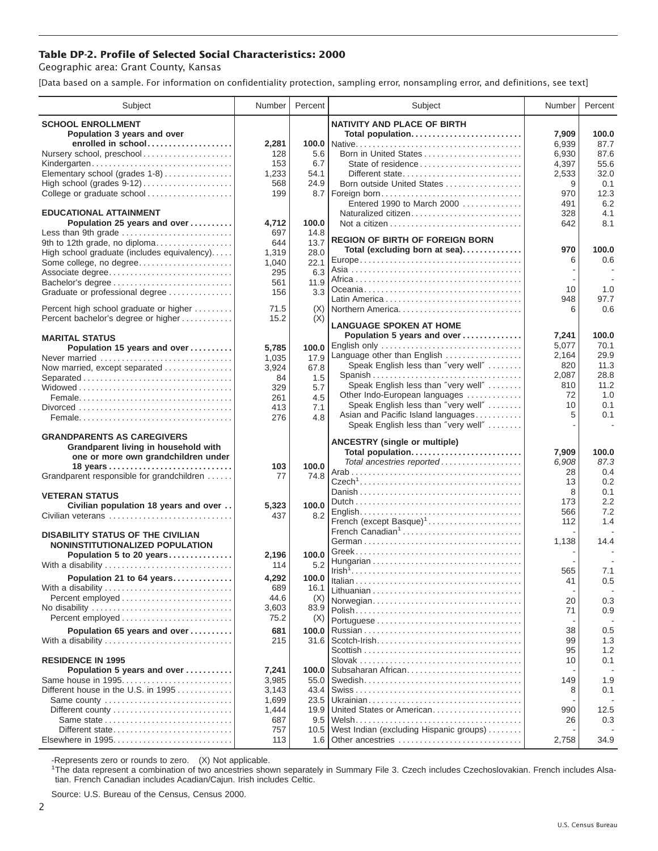## **Table DP-2. Profile of Selected Social Characteristics: 2000**

Geographic area: Grant County, Kansas

[Data based on a sample. For information on confidentiality protection, sampling error, nonsampling error, and definitions, see text]

| Subject                                                    | Number       | Percent     | Subject                                                              | Number         | Percent       |
|------------------------------------------------------------|--------------|-------------|----------------------------------------------------------------------|----------------|---------------|
| <b>SCHOOL ENROLLMENT</b>                                   |              |             | <b>NATIVITY AND PLACE OF BIRTH</b>                                   |                |               |
| Population 3 years and over                                |              |             | Total population                                                     | 7,909          | 100.0         |
| enrolled in school                                         | 2,281        | 100.0       |                                                                      | 6,939          | 87.7          |
| Nursery school, preschool                                  | 128          | 5.6         | Born in United States                                                | 6,930          | 87.6          |
| Kindergarten                                               | 153          | 6.7         | State of residence                                                   | 4,397          | 55.6          |
| Elementary school (grades 1-8)                             | 1,233        | 54.1        | Different state                                                      | 2,533          | 32.0          |
|                                                            | 568          | 24.9        | Born outside United States                                           | 9              | 0.1           |
| College or graduate school                                 | 199          | 8.7         | Foreign born                                                         | 970            | 12.3          |
| <b>EDUCATIONAL ATTAINMENT</b>                              |              |             | Entered 1990 to March 2000<br>Naturalized citizen                    | 491<br>328     | 6.2<br>4.1    |
| Population 25 years and over                               | 4,712        | 100.0       |                                                                      | 642            | 8.1           |
| Less than 9th grade                                        | 697          | 14.8        |                                                                      |                |               |
| 9th to 12th grade, no diploma                              | 644          | 13.7        | <b>REGION OF BIRTH OF FOREIGN BORN</b>                               |                |               |
| High school graduate (includes equivalency)                | 1,319        | 28.0        | Total (excluding born at sea)                                        | 970            | 100.0         |
| Some college, no degree                                    | 1,040        | 22.1        |                                                                      | 6              | 0.6           |
| Associate degree                                           | 295          | 6.3         |                                                                      |                |               |
| Bachelor's degree                                          | 561          | 11.9        |                                                                      |                |               |
| Graduate or professional degree                            | 156          | 3.3         |                                                                      | 10<br>948      | 1.0<br>97.7   |
| Percent high school graduate or higher                     | 71.5         | (X)         |                                                                      | 6              | 0.6           |
| Percent bachelor's degree or higher                        | 15.2         | (X)         |                                                                      |                |               |
|                                                            |              |             | <b>LANGUAGE SPOKEN AT HOME</b>                                       |                |               |
| <b>MARITAL STATUS</b>                                      |              |             | Population 5 years and over                                          | 7,241          | 100.0         |
| Population 15 years and over                               | 5,785        | 100.0       | English only                                                         | 5,077          | 70.1          |
| Never married                                              | 1,035        | 17.9        | Language other than English                                          | 2,164          | 29.9          |
| Now married, except separated                              | 3,924        | 67.8        | Speak English less than "very well"                                  | 820            | 11.3          |
|                                                            | 84           | 1.5         | Spanish                                                              | 2,087          | 28.8<br>11.2  |
|                                                            | 329          | 5.7         | Speak English less than "very well"<br>Other Indo-European languages | 810<br>72      | 1.0           |
|                                                            | 261          | 4.5         | Speak English less than "very well"                                  | 10             | 0.1           |
|                                                            | 413          | 7.1         | Asian and Pacific Island languages                                   | 5              | 0.1           |
|                                                            | 276          | 4.8         | Speak English less than "very well"                                  |                |               |
| <b>GRANDPARENTS AS CAREGIVERS</b>                          |              |             |                                                                      |                |               |
| Grandparent living in household with                       |              |             | <b>ANCESTRY</b> (single or multiple)                                 |                |               |
| one or more own grandchildren under                        |              |             | Total population<br>Total ancestries reported                        | 7,909<br>6,908 | 100.0<br>87.3 |
|                                                            | 103          | 100.0       |                                                                      | 28             | 0.4           |
| Grandparent responsible for grandchildren                  | 77           | 74.8        |                                                                      | 13             | 0.2           |
|                                                            |              |             |                                                                      | 8              | 0.1           |
| <b>VETERAN STATUS</b>                                      |              | 100.0       |                                                                      | 173            | 2.2           |
| Civilian population 18 years and over<br>Civilian veterans | 5,323<br>437 | 8.2         |                                                                      | 566            | 7.2           |
|                                                            |              |             | French (except Basque) <sup>1</sup>                                  | 112            | 1.4           |
| <b>DISABILITY STATUS OF THE CIVILIAN</b>                   |              |             | French Canadian <sup>1</sup>                                         |                |               |
| NONINSTITUTIONALIZED POPULATION                            |              |             |                                                                      | 1,138          | 14.4          |
| Population 5 to 20 years                                   | 2,196        | 100.0       |                                                                      |                |               |
| With a disability                                          | 114          | 5.2         |                                                                      |                |               |
| Population 21 to 64 years                                  | 4,292        | 100.0       |                                                                      | 565            | 7.1           |
| With a disability                                          | 689          | 16.1        |                                                                      | 41             | 0.5           |
|                                                            | 44.6         | (X)         | Norwegian                                                            | 20             | 0.3           |
| No disability                                              | 3,603        | 83.9        |                                                                      | 71             | 0.9           |
|                                                            | 75.2         | (X)         |                                                                      |                |               |
| Population 65 years and over                               | 681          | 100.0       |                                                                      | 38             | 0.5           |
| With a disability                                          | 215          | 31.6        |                                                                      | 99             | 1.3           |
|                                                            |              |             |                                                                      | 95             | 1.2           |
| <b>RESIDENCE IN 1995</b>                                   |              |             |                                                                      | 10             | 0.1           |
| Population 5 years and over                                | 7,241        | 100.0       | Subsaharan African                                                   |                |               |
| Same house in 1995                                         | 3,985        | 55.0        |                                                                      | 149            | 1.9           |
| Different house in the U.S. in $1995$                      | 3,143        | 43.4        |                                                                      | 8              | 0.1           |
| Same county                                                | 1,699        | 23.5        | United States or American                                            |                |               |
| Different county<br>Same state                             | 1,444<br>687 | 19.9<br>9.5 |                                                                      | 990<br>26      | 12.5<br>0.3   |
| Different state                                            | 757          | 10.5        | West Indian (excluding Hispanic groups)                              |                |               |
| Elsewhere in 1995                                          | 113          | 1.6         | Other ancestries                                                     | 2,758          | 34.9          |
|                                                            |              |             |                                                                      |                |               |

-Represents zero or rounds to zero. (X) Not applicable. 1 The data represent a combination of two ancestries shown separately in Summary File 3. Czech includes Czechoslovakian. French includes Alsatian. French Canadian includes Acadian/Cajun. Irish includes Celtic.

Source: U.S. Bureau of the Census, Census 2000.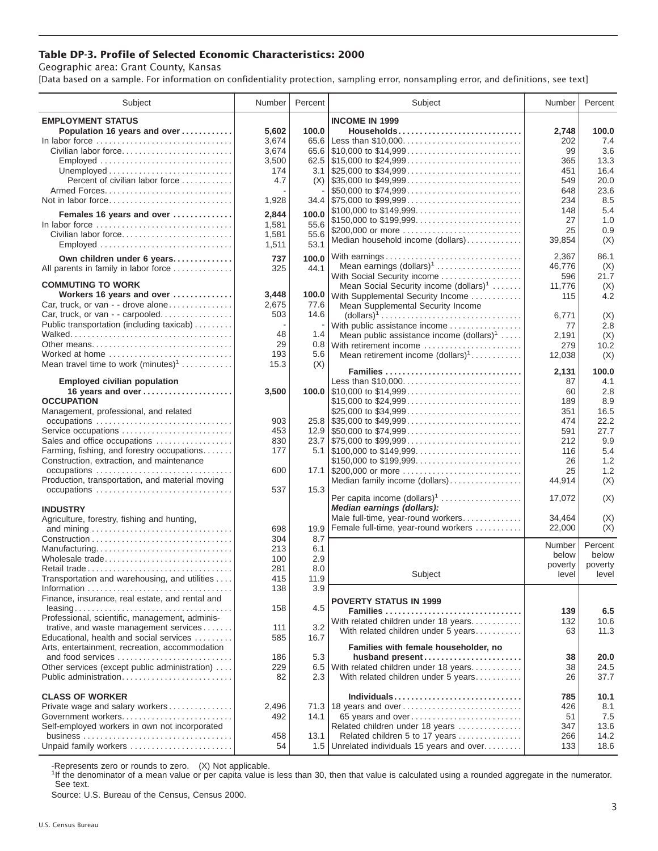## **Table DP-3. Profile of Selected Economic Characteristics: 2000**

Geographic area: Grant County, Kansas

[Data based on a sample. For information on confidentiality protection, sampling error, nonsampling error, and definitions, see text]

| Subject                                                                            | Number       | Percent      | Subject                                                                                                                 | Number       | Percent      |
|------------------------------------------------------------------------------------|--------------|--------------|-------------------------------------------------------------------------------------------------------------------------|--------------|--------------|
| <b>EMPLOYMENT STATUS</b>                                                           |              |              | <b>INCOME IN 1999</b>                                                                                                   |              |              |
| Population 16 years and over                                                       | 5,602        | 100.0        | Households                                                                                                              | 2,748        | 100.0        |
| In labor force                                                                     | 3,674        | 65.6         |                                                                                                                         | 202          | 7.4          |
| Civilian labor force                                                               | 3,674        |              |                                                                                                                         | 99           | 3.6          |
| Employed                                                                           | 3,500        |              |                                                                                                                         | 365          | 13.3         |
|                                                                                    | 174          |              |                                                                                                                         | 451          | 16.4         |
| Percent of civilian labor force                                                    | 4.7          | (X)          | $\frac{1}{2}$ \$35,000 to \$49,999                                                                                      | 549          | 20.0         |
|                                                                                    |              |              | \$50,000 to \$74,999                                                                                                    | 648          | 23.6         |
| Not in labor force                                                                 | 1,928        |              | 34.4 \$75,000 to \$99,999                                                                                               | 234          | 8.5          |
| Females 16 years and over                                                          | 2,844        | 100.0        | \$100,000 to \$149,999                                                                                                  | 148          | 5.4          |
| In labor force $\dots\dots\dots\dots\dots\dots\dots\dots\dots\dots\dots\dots\dots$ | 1,581        | 55.6         | \$150,000 to \$199,999                                                                                                  | 27           | 1.0          |
| Civilian labor force                                                               | 1,581        | 55.6         | \$200,000 or more<br>Median household income (dollars)                                                                  | 25<br>39.854 | 0.9<br>(X)   |
|                                                                                    | 1,511        | 53.1         |                                                                                                                         |              |              |
| Own children under 6 years                                                         | 737          | 100.0        | With earnings                                                                                                           | 2,367        | 86.1         |
| All parents in family in labor force                                               | 325          | 44.1         | Mean earnings (dollars) <sup>1</sup>                                                                                    | 46,776       | (X)          |
|                                                                                    |              |              | With Social Security income                                                                                             | 596          | 21.7         |
| <b>COMMUTING TO WORK</b>                                                           |              |              | Mean Social Security income (dollars) <sup>1</sup>                                                                      | 11,776       | (X)          |
| Workers 16 years and over                                                          | 3,448        | 100.0        | With Supplemental Security Income                                                                                       | 115          | 4.2          |
| Car, truck, or van - - drove alone<br>Car, truck, or van - - carpooled             | 2,675<br>503 | 77.6<br>14.6 | Mean Supplemental Security Income                                                                                       |              |              |
| Public transportation (including taxicab)                                          |              |              | $\text{(dollars)}^1 \dots \dots \dots \dots \dots \dots \dots \dots \dots \dots \dots$<br>With public assistance income | 6,771        | (X)          |
|                                                                                    | 48           | 1.4          | Mean public assistance income $(dollars)1 \ldots$ .                                                                     | 77<br>2,191  | 2.8<br>(X)   |
| Other means                                                                        | 29           |              | 0.8 With retirement income                                                                                              | 279          | 10.2         |
| Worked at home                                                                     | 193          | 5.6          | Mean retirement income $(dollars)1$                                                                                     | 12,038       | (X)          |
| Mean travel time to work $(minutes)^1$                                             | 15.3         | (X)          |                                                                                                                         |              |              |
|                                                                                    |              |              | Families                                                                                                                | 2,131        | 100.0        |
| <b>Employed civilian population</b>                                                |              |              | Less than \$10,000                                                                                                      | 87           | 4.1          |
| 16 years and over                                                                  | 3,500        |              | 100.0 $\mid$ \$10,000 to \$14,999                                                                                       | 60           | 2.8          |
| <b>OCCUPATION</b>                                                                  |              |              | \$15,000 to \$24,999                                                                                                    | 189          | 8.9          |
| Management, professional, and related                                              | 903          |              | \$25,000 to \$34,999                                                                                                    | 351          | 16.5         |
| Service occupations                                                                | 453          |              | $25.8$ \\ \$35,000 to \$49,999                                                                                          | 474<br>591   | 22.2<br>27.7 |
| Sales and office occupations                                                       | 830          |              |                                                                                                                         | 212          | 9.9          |
| Farming, fishing, and forestry occupations                                         | 177          |              |                                                                                                                         | 116          | 5.4          |
| Construction, extraction, and maintenance                                          |              |              | \$150,000 to \$199,999                                                                                                  | 26           | 1.2          |
| occupations                                                                        | 600          |              | 17.1 \$200,000 or more                                                                                                  | 25           | 1.2          |
| Production, transportation, and material moving                                    |              |              | Median family income (dollars)                                                                                          | 44,914       | (X)          |
|                                                                                    | 537          | 15.3         |                                                                                                                         |              |              |
|                                                                                    |              |              | Per capita income (dollars) <sup>1</sup>                                                                                | 17,072       | (X)          |
| <b>INDUSTRY</b>                                                                    |              |              | Median earnings (dollars):                                                                                              |              |              |
| Agriculture, forestry, fishing and hunting,                                        |              |              | Male full-time, year-round workers                                                                                      | 34,464       | (X)          |
|                                                                                    | 698          | 19.9         | Female full-time, year-round workers                                                                                    | 22,000       | (X)          |
|                                                                                    | 304          | 8.7          |                                                                                                                         | Number       | Percent      |
| Manufacturing<br>Wholesale trade                                                   | 213<br>100   | 6.1<br>2.9   |                                                                                                                         | below        | below        |
| Retail trade                                                                       | 281          | 8.0          |                                                                                                                         | poverty      | poverty      |
| Transportation and warehousing, and utilities                                      | 415          | 11.9         | Subject                                                                                                                 | level        | level        |
|                                                                                    | 138          | 3.9          |                                                                                                                         |              |              |
| Finance, insurance, real estate, and rental and                                    |              |              | <b>POVERTY STATUS IN 1999</b>                                                                                           |              |              |
|                                                                                    | 158          | 4.5          | Families                                                                                                                | 139          | 6.5          |
| Professional, scientific, management, adminis-                                     |              |              | With related children under 18 years                                                                                    | 132          | 10.6         |
| trative, and waste management services                                             | 111          | 3.2          | With related children under 5 years                                                                                     | 63           | 11.3         |
| Educational, health and social services                                            | 585          | 16.7         |                                                                                                                         |              |              |
| Arts, entertainment, recreation, accommodation                                     |              |              | Families with female householder, no                                                                                    |              |              |
| and food services                                                                  | 186          | 5.3          | husband present                                                                                                         | 38           | 20.0         |
| Other services (except public administration)<br>Public administration             | 229<br>82    |              | 6.5 With related children under 18 years                                                                                | 38<br>26     | 24.5<br>37.7 |
|                                                                                    |              | 2.3          | With related children under 5 years                                                                                     |              |              |
| <b>CLASS OF WORKER</b>                                                             |              |              | Individuals                                                                                                             | 785          | 10.1         |
| Private wage and salary workers                                                    | 2,496        |              | 71.3 18 years and over                                                                                                  | 426          | 8.1          |
| Government workers                                                                 | 492          | 14.1         | 65 years and over                                                                                                       | 51           | 7.5          |
| Self-employed workers in own not incorporated                                      |              |              | Related children under 18 years                                                                                         | 347          | 13.6         |
|                                                                                    | 458          | 13.1         | Related children 5 to 17 years                                                                                          | 266          | 14.2         |
| Unpaid family workers                                                              | 54           |              | 1.5 Unrelated individuals 15 years and over                                                                             | 133          | 18.6         |

-Represents zero or rounds to zero. (X) Not applicable.

<sup>1</sup>If the denominator of a mean value or per capita value is less than 30, then that value is calculated using a rounded aggregate in the numerator. See text.

Source: U.S. Bureau of the Census, Census 2000.